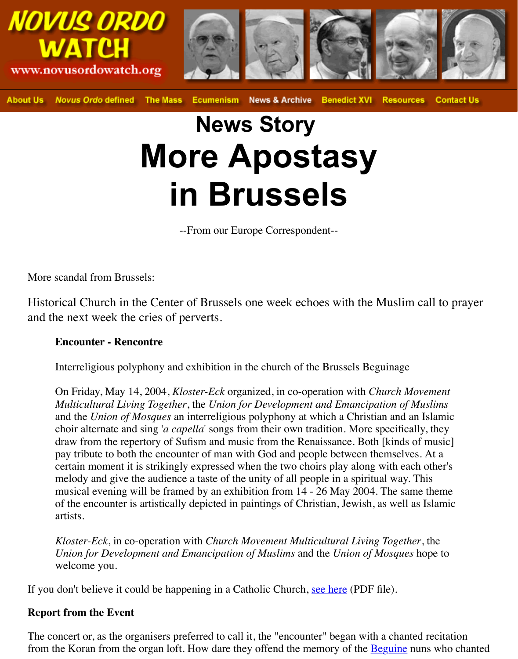# **News Story More Apostasy in Brussels**

--From our Europe Correspondent--

More scandal from Brussels:

Historical Church in the Center of Brussels one week echoes with the Muslim c and the next week the cries of perverts.

#### **Encounter - Rencontre**

Interreligious polyphony and exhibition in the church of the Brussels Beguinage

On Friday, May 14, 2004, *Kloster-Eck* organized, in co-operation with *Church Mov Multicultural Living Together*, the *Union for Development and Emancipation of Muslims* and the *Union of Mosques* an interreligious polyphony at which a Christian and an choir alternate and sing '*a capella*' songs from their own tradition. More specifically draw from the repertory of Sufism and music from the Renaissance. Both [kinds of pay tribute to both the encounter of man with God and people between themselves. certain moment it is strikingly expressed when the two choirs play along with each melody and give the audience a taste of the unity of all people in a spiritual way. The musical evening will be framed by an exhibition from 14 - 26 May 2004. The same of the encounter is artistically depicted in paintings of Christian, Jewish, as well as artists.

*Kloster-Eck*, in co-operation with *Church Movement Multicultural Living Together Union for Development and Emancipation of Muslims* and the *Union of Mosques* h welcome you.

If you don't believe it could be happening in a Catholic Church, see here (PDF file).

### **Report from the Event**

The concert or, as the organisers preferred to call it, the "encounter" began with a chanted from the Koran from the organ loft. How dare they offend the memory of the **Beguine** nun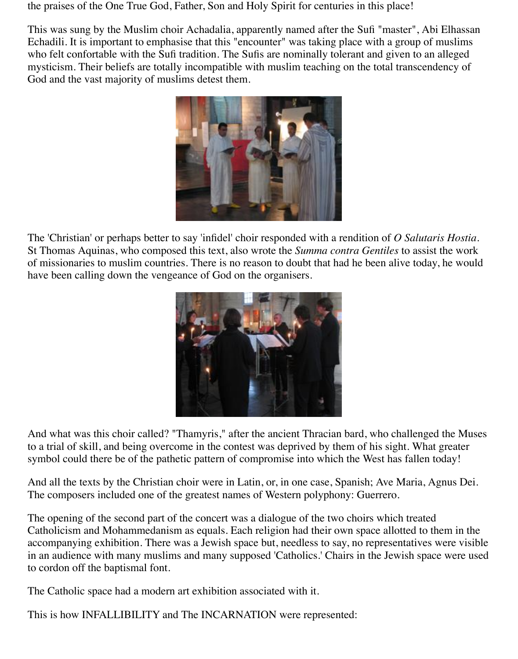the praises of the One True God, Father, Son and Holy Spirit for centuries in this place!

This was sung by the Muslim choir Achadalia, apparently named after the Sufi "master", Abi Elhassan Echadili. It is important to emphasise that this "encounter" was taking place with a group of muslims who felt confortable with the Sufi tradition. The Sufis are nominally tolerant and given to an alleged mysticism. Their beliefs are totally incompatible with muslim teaching on the total transcendency of God and the vast majority of muslims detest them.



The 'Christian' or perhaps better to say 'infidel' choir responded with a rendition of *O Salutaris Hostia*. St Thomas Aquinas, who composed this text, also wrote the *Summa contra Gentiles* to assist the work of missionaries to muslim countries. There is no reason to doubt that had he been alive today, he would have been calling down the vengeance of God on the organisers.



And what was this choir called? "Thamyris," after the ancient Thracian bard, who challenged the Muses to a trial of skill, and being overcome in the contest was deprived by them of his sight. What greater symbol could there be of the pathetic pattern of compromise into which the West has fallen today!

And all the texts by the Christian choir were in Latin, or, in one case, Spanish; Ave Maria, Agnus Dei. The composers included one of the greatest names of Western polyphony: Guerrero.

The opening of the second part of the concert was a dialogue of the two choirs which treated Catholicism and Mohammedanism as equals. Each religion had their own space allotted to them in the accompanying exhibition. There was a Jewish space but, needless to say, no representatives were visible in an audience with many muslims and many supposed 'Catholics.' Chairs in the Jewish space were used to cordon off the baptismal font.

The Catholic space had a modern art exhibition associated with it.

This is how INFALLIBILITY and The INCARNATION were represented: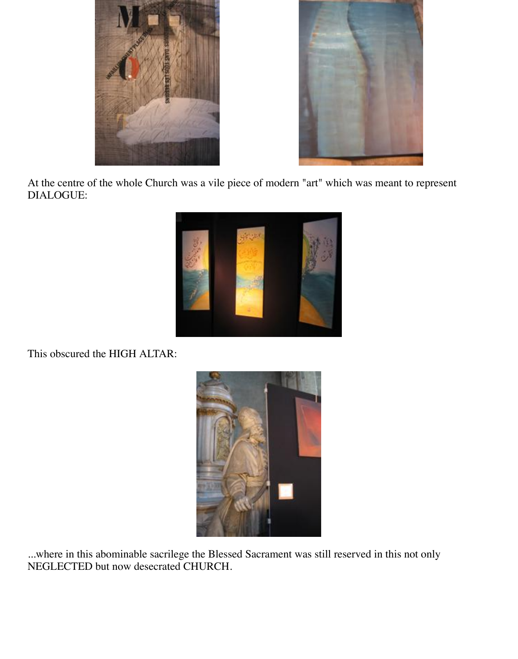



At the centre of the whole Church was a vile piece of modern "art" which was meant to represent DIALOGUE:



This obscured the HIGH ALTAR:



...where in this abominable sacrilege the Blessed Sacrament was still reserved in this not only NEGLECTED but now desecrated CHURCH.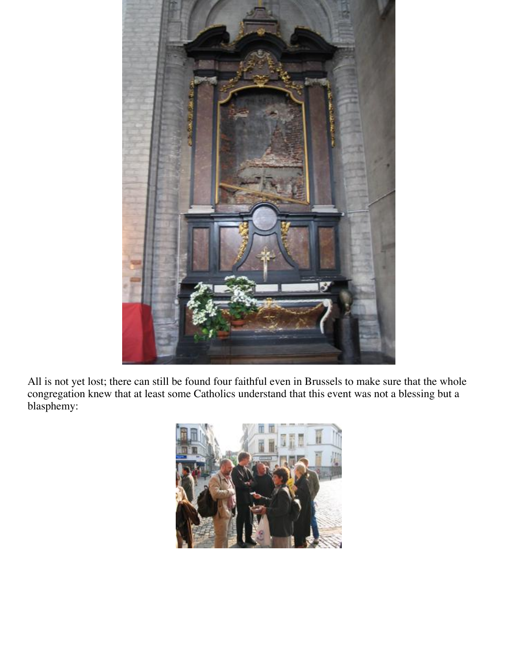

All is not yet lost; there can still be found four faithful even in Brussels to make sure that the whole congregation knew that at least some Catholics understand that this event was not a blessing but a blasphemy: